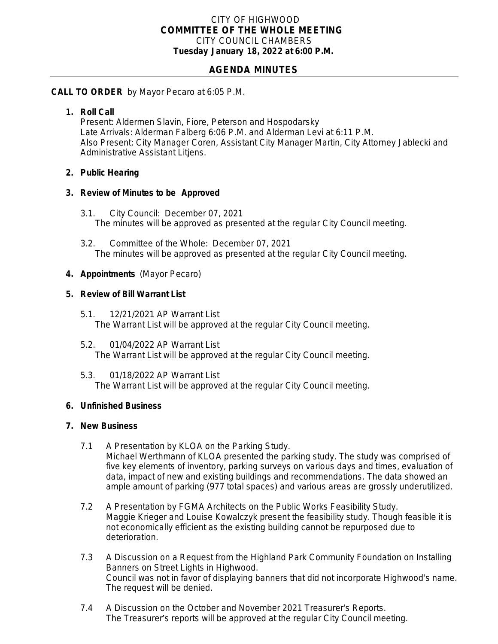### CITY OF HIGHWOOD *COMMITTEE OF THE WHOLE MEETING* CITY COUNCIL CHAMBERS **Tuesday January 18, 2022 at 6:00 P.M.**

# **AGENDA MINUTES**

### **CALL TO ORDER** by Mayor Pecaro at 6:05 P.M.

### **1. Roll Call**

Present: Aldermen Slavin, Fiore, Peterson and Hospodarsky Late Arrivals: Alderman Falberg 6:06 P.M. and Alderman Levi at 6:11 P.M. Also Present: City Manager Coren, Assistant City Manager Martin, City Attorney Jablecki and Administrative Assistant Litjens.

### **2. Public Hearing**

#### **3. Review of Minutes to be Approved**

- 3.1. City Council: December 07, 2021 The minutes will be approved as presented at the regular City Council meeting.
- 3.2. Committee of the Whole: December 07, 2021 The minutes will be approved as presented at the regular City Council meeting.

### **4. Appointments** (Mayor Pecaro)

#### **5. Review of Bill Warrant List**

- 5.1. 12/21/2021 AP Warrant List The Warrant List will be approved at the regular City Council meeting.
- 5.2. 01/04/2022 AP Warrant List The Warrant List will be approved at the regular City Council meeting.
- 5.3. 01/18/2022 AP Warrant List The Warrant List will be approved at the regular City Council meeting.

#### **6. Unfinished Business**

#### **7. New Business**

- 7.1 A Presentation by KLOA on the Parking Study. Michael Werthmann of KLOA presented the parking study. The study was comprised of five key elements of inventory, parking surveys on various days and times, evaluation of data, impact of new and existing buildings and recommendations. The data showed an ample amount of parking (977 total spaces) and various areas are grossly underutilized.
- 7.2 A Presentation by FGMA Architects on the Public Works Feasibility Study. Maggie Krieger and Louise Kowalczyk present the feasibility study. Though feasible it is not economically efficient as the existing building cannot be repurposed due to deterioration.
- 7.3 A Discussion on a Request from the Highland Park Community Foundation on Installing Banners on Street Lights in Highwood. Council was not in favor of displaying banners that did not incorporate Highwood's name. The request will be denied.
- 7.4 A Discussion on the October and November 2021 Treasurer's Reports. The Treasurer's reports will be approved at the regular City Council meeting.